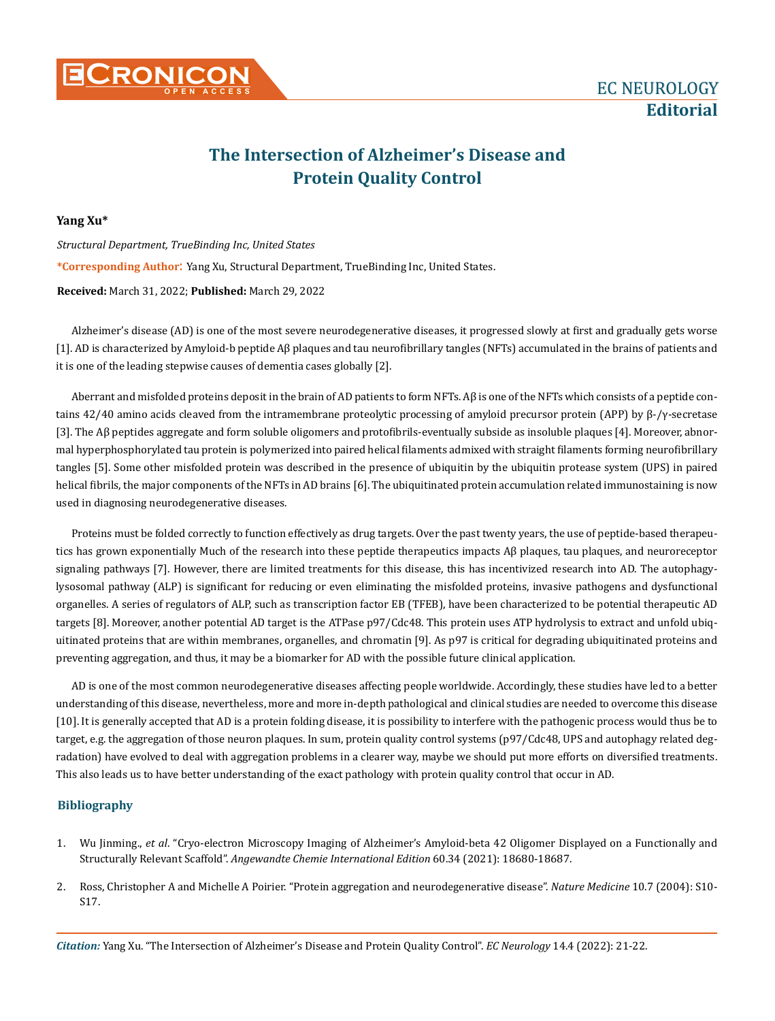## **The Intersection of Alzheimer's Disease and Protein Quality Control**

## **Yang Xu\***

*Structural Department, TrueBinding Inc, United States*  **\*Corresponding Author**: Yang Xu, Structural Department, TrueBinding Inc, United States. **Received:** March 31, 2022; **Published:** March 29, 2022

Alzheimer's disease (AD) is one of the most severe neurodegenerative diseases, it progressed slowly at first and gradually gets worse [1]. AD is characterized by Amyloid-b peptide Aβ plaques and tau neurofibrillary tangles (NFTs) accumulated in the brains of patients and it is one of the leading stepwise causes of dementia cases globally [2].

Aberrant and misfolded proteins deposit in the brain of AD patients to form NFTs. Aβ is one of the NFTs which consists of a peptide contains 42/40 amino acids cleaved from the intramembrane proteolytic processing of amyloid precursor protein (APP) by β-/γ-secretase [3]. The Aβ peptides aggregate and form soluble oligomers and protofibrils-eventually subside as insoluble plaques [4]. Moreover, abnormal hyperphosphorylated tau protein is polymerized into paired helical filaments admixed with straight filaments forming neurofibrillary tangles [5]. Some other misfolded protein was described in the presence of ubiquitin by the ubiquitin protease system (UPS) in paired helical fibrils, the major components of the NFTs in AD brains [6]. The ubiquitinated protein accumulation related immunostaining is now used in diagnosing neurodegenerative diseases.

Proteins must be folded correctly to function effectively as drug targets. Over the past twenty years, the use of peptide-based therapeutics has grown exponentially Much of the research into these peptide therapeutics impacts Aβ plaques, tau plaques, and neuroreceptor signaling pathways [7]. However, there are limited treatments for this disease, this has incentivized research into AD. The autophagylysosomal pathway (ALP) is significant for reducing or even eliminating the misfolded proteins, invasive pathogens and dysfunctional organelles. A series of regulators of ALP, such as transcription factor EB (TFEB), have been characterized to be potential therapeutic AD targets [8]. Moreover, another potential AD target is the ATPase p97/Cdc48. This protein uses ATP hydrolysis to extract and unfold ubiquitinated proteins that are within membranes, organelles, and chromatin [9]. As p97 is critical for degrading ubiquitinated proteins and preventing aggregation, and thus, it may be a biomarker for AD with the possible future clinical application.

AD is one of the most common neurodegenerative diseases affecting people worldwide. Accordingly, these studies have led to a better understanding of this disease, nevertheless, more and more in-depth pathological and clinical studies are needed to overcome this disease [10]. It is generally accepted that AD is a protein folding disease, it is possibility to interfere with the pathogenic process would thus be to target, e.g. the aggregation of those neuron plaques. In sum, protein quality control systems (p97/Cdc48, UPS and autophagy related degradation) have evolved to deal with aggregation problems in a clearer way, maybe we should put more efforts on diversified treatments. This also leads us to have better understanding of the exact pathology with protein quality control that occur in AD.

## **Bibliography**

- 1. Wu Jinming., et al. "Cryo-electron Microscopy Imaging of Alzheimer's Amyloid-beta 42 Oligomer Displayed on a Functionally and Structurally Relevant Scaffold". *[Angewandte Chemie International Edition](https://pubmed.ncbi.nlm.nih.gov/34042235/)* 60.34 (2021): 18680-18687.
- 2. [Ross, Christopher A and Michelle A Poirier. "Protein aggregation and neurodegenerative disease".](https://pubmed.ncbi.nlm.nih.gov/15272267/) *Nature Medicine* 10.7 (2004): S10- [S17.](https://pubmed.ncbi.nlm.nih.gov/15272267/)

*Citation:* Yang Xu. "The Intersection of Alzheimer's Disease and Protein Quality Control". *EC Neurology* 14.4 (2022): 21-22.